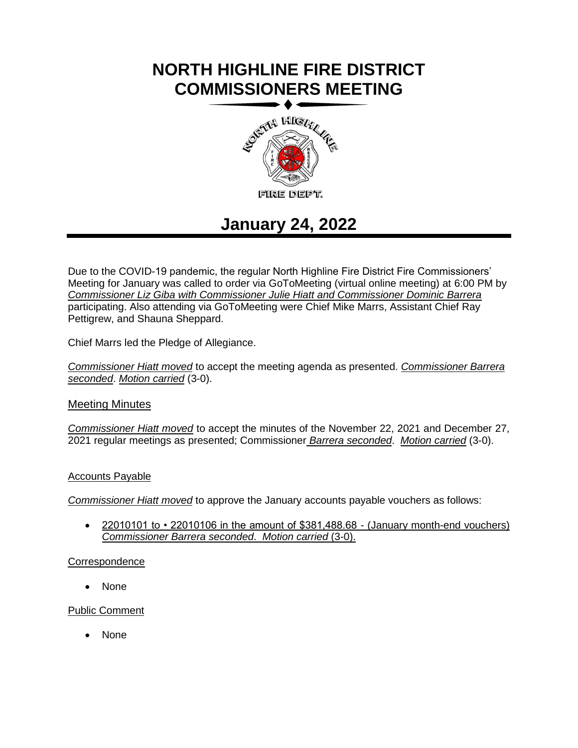# **NORTH HIGHLINE FIRE DISTRICT COMMISSIONERS MEETING**



## **January 24, 2022**

Due to the COVID-19 pandemic, the regular North Highline Fire District Fire Commissioners' Meeting for January was called to order via GoToMeeting (virtual online meeting) at 6:00 PM by *Commissioner Liz Giba with Commissioner Julie Hiatt and Commissioner Dominic Barrera* participating. Also attending via GoToMeeting were Chief Mike Marrs, Assistant Chief Ray Pettigrew, and Shauna Sheppard.

Chief Marrs led the Pledge of Allegiance.

*Commissioner Hiatt moved* to accept the meeting agenda as presented. *Commissioner Barrera seconded*. *Motion carried* (3-0).

### Meeting Minutes

*Commissioner Hiatt moved* to accept the minutes of the November 22, 2021 and December 27, 2021 regular meetings as presented; Commissioner *Barrera seconded*. *Motion carried* (3-0).

#### Accounts Payable

*Commissioner Hiatt moved* to approve the January accounts payable vouchers as follows:

• 22010101 to • 22010106 in the amount of \$381,488.68 - (January month-end vouchers) *Commissioner Barrera seconded*. *Motion carried* (3-0).

#### **Correspondence**

• None

#### Public Comment

• None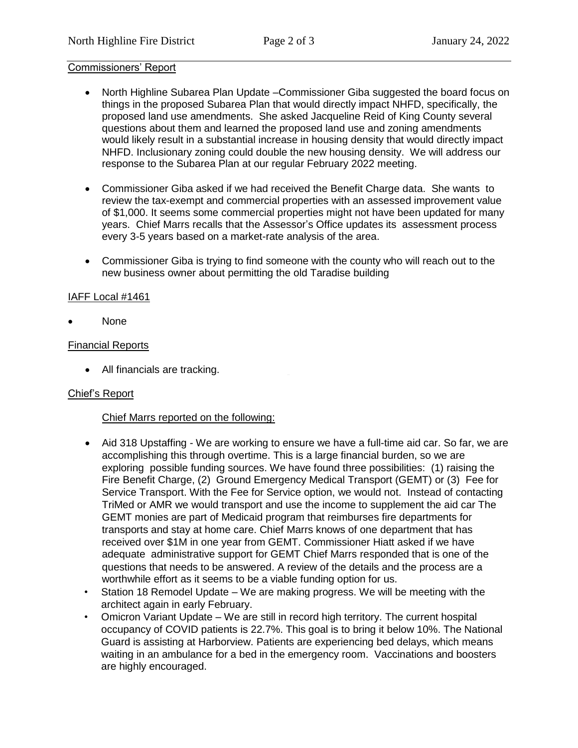#### Commissioners' Report

- North Highline Subarea Plan Update –Commissioner Giba suggested the board focus on things in the proposed Subarea Plan that would directly impact NHFD, specifically, the proposed land use amendments. She asked Jacqueline Reid of King County several questions about them and learned the proposed land use and zoning amendments would likely result in a substantial increase in housing density that would directly impact NHFD. Inclusionary zoning could double the new housing density. We will address our response to the Subarea Plan at our regular February 2022 meeting.
- Commissioner Giba asked if we had received the Benefit Charge data. She wants to review the tax-exempt and commercial properties with an assessed improvement value of \$1,000. It seems some commercial properties might not have been updated for many years. Chief Marrs recalls that the Assessor's Office updates its assessment process every 3-5 years based on a market-rate analysis of the area.
- Commissioner Giba is trying to find someone with the county who will reach out to the new business owner about permitting the old Taradise building

#### IAFF Local #1461

• None

#### Financial Reports

• All financials are tracking.

#### Chief's Report

#### Chief Marrs reported on the following:

- Aid 318 Upstaffing We are working to ensure we have a full-time aid car. So far, we are accomplishing this through overtime. This is a large financial burden, so we are exploring possible funding sources. We have found three possibilities: (1) raising the Fire Benefit Charge, (2) Ground Emergency Medical Transport (GEMT) or (3) Fee for Service Transport. With the Fee for Service option, we would not. Instead of contacting TriMed or AMR we would transport and use the income to supplement the aid car The GEMT monies are part of Medicaid program that reimburses fire departments for transports and stay at home care. Chief Marrs knows of one department that has received over \$1M in one year from GEMT. Commissioner Hiatt asked if we have adequate administrative support for GEMT Chief Marrs responded that is one of the questions that needs to be answered. A review of the details and the process are a worthwhile effort as it seems to be a viable funding option for us.
- Station 18 Remodel Update We are making progress. We will be meeting with the architect again in early February.
- Omicron Variant Update We are still in record high territory. The current hospital occupancy of COVID patients is 22.7%. This goal is to bring it below 10%. The National Guard is assisting at Harborview. Patients are experiencing bed delays, which means waiting in an ambulance for a bed in the emergency room. Vaccinations and boosters are highly encouraged.